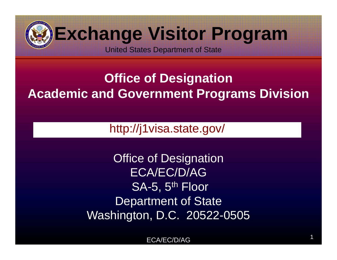

### **Office of Designation Academic and Government Programs Division**

http://j1visa.state.gov/

**Office of Designation** ECA/EC/D/AGSA-5, 5<sup>th</sup> Floor Department of State Washington, D.C. 20522-0505

> ECA/EC/D/AGG and  $\overline{1}$  and  $\overline{1}$  and  $\overline{1}$  and  $\overline{1}$  and  $\overline{1}$  and  $\overline{1}$  and  $\overline{1}$  and  $\overline{1}$  and  $\overline{1}$  and  $\overline{1}$  and  $\overline{1}$  and  $\overline{1}$  and  $\overline{1}$  and  $\overline{1}$  and  $\overline{1}$  and  $\overline{1}$  and  $\overline{1}$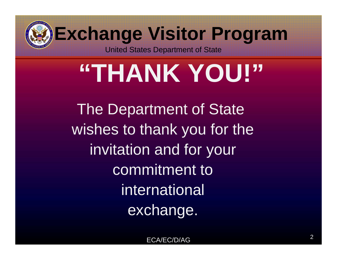

# **"THANK YOU!"**

The Department of State wishes to thank you for the invitation and for your commitment to international exchange.

ECA/EC/D/AG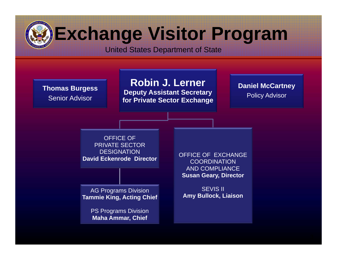#### United States Department of State

**Thomas Burgess** Senior Advisor

**Robin J. Lerner**

**Deputy Assistant Secretary for Private Sector Exchange** **Daniel McCartney** 

Policy Advisor

OFFICE OFPRIVATE SECTOR **DESIGNATION David Eckenrode Director**

AG Programs Division **Tammie King, Acting Chief**

> PS Programs Division **Maha Ammar, Chief**

OFFICE OF EXCHANGE**COORDINATION** AND COMPLIANCE**Susan Geary, Director**

SEVIS II**Amy Bullock, Liaison**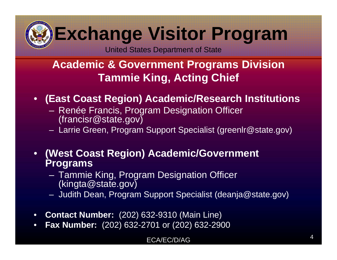United States Department of State

#### **Academic & Government Programs Division Tammie King, Acting Chief**

#### •**(East Coast Region) Academic/Research Institutions**

- Renée Francis, Program Designation Officer (francisr@state.gov)
- Larrie Green, Program Support Specialist (greenlr@state.gov)
- • **(West Coast Region) Academic/Government Programs**
	- Tammie King, Program Designation Officer (kingta@state.gov)
	- Judith Dean, Program Support Specialist (deanja@state.gov)
- •**Contact Number:** (202) 632-9310 (Main Line)
- •**Fax Number:** (202) 632-2701 or (202) 632-2900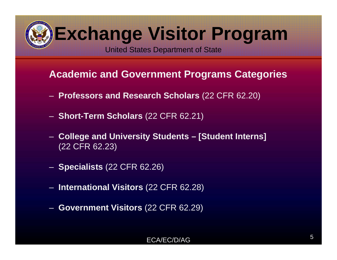United States Department of State

#### **Academic and Government Programs Categories**

- **Professors and Research Scholars** (22 CFR 62.20)
- **Short-Term Scholars** (22 CFR 62.21)
- **College and University Students – [Student Interns]** (22 CFR 62.23)
- **Specialists** (22 CFR 62.26)
- **International Visitors** (22 CFR 62.28)
- **Government Visitors** (22 CFR 62.29)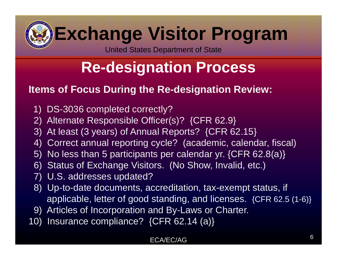United States Department of State

### **Re-designation Process**

#### **Items of Focus During the Re-designation Review:**

- 1) DS-3036 completed correctly?
- 2) Alternate Responsible Officer(s)? {CFR 62.9}
- 3) At least (3 years) of Annual Reports? {CFR 62.15}
- 4) Correct annual reporting cycle? (academic, calendar, fiscal)
- 5) No less than 5 participants per calendar yr. {CFR 62.8(a)}
- 6) Status of Exchange Visitors. (No Show, Invalid, etc.)
- 7) U.S. addresses updated?
- 8) Up-to-date documents, accreditation, tax-exempt status, if applicable, letter of good standing, and licenses. {CFR 62.5 (1-6)}
- 9) Articles of Incorporation and By-Laws or Charter.
- 10) Insurance compliance? {CFR 62.14 (a)}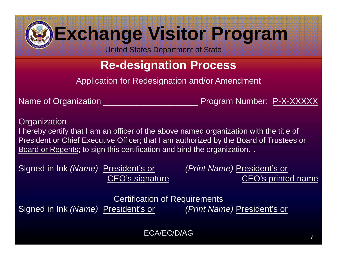United States Department of State

### **Re-designation Process**

Application for Redesignation and/or Amendment

Name of Organization \_\_\_\_\_\_\_\_\_\_\_\_\_\_\_\_\_\_\_\_ Program Number: P-X-XXXXX

**Organization** I hereby certify that I am an officer of the above named organization with the title of President or Chief Executive Officer; that I am authorized by the Board of Trustees or Board or Regents; to sign this certification and bind the organization…

Signed in Ink *(Name)* President's or *(Print Name)* President's or

CEO's signature CEO's printed name

Certification of Requirements Signed in Ink *(Name)* President's or *(Print Name)* President's or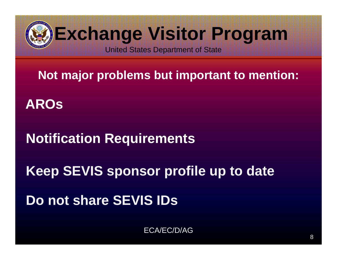

**Not major problems but important to mention:**

**AROs**

**Notification Requirements**

**Keep SEVIS sponsor profile up to date**

**Do not share SEVIS IDs**

ECA/EC/D/AG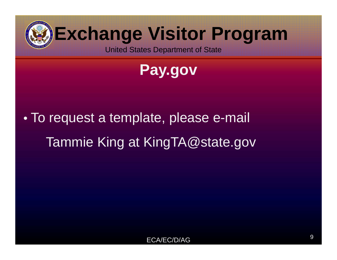

**Pay.gov**

 $\bullet$  To request a template, please e-mail Tammie King at KingTA@state.gov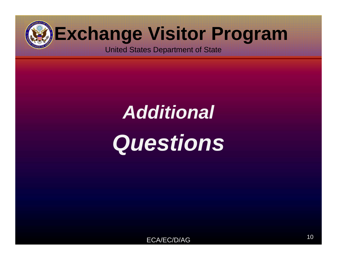

United States Department of State

## *Additional Questions*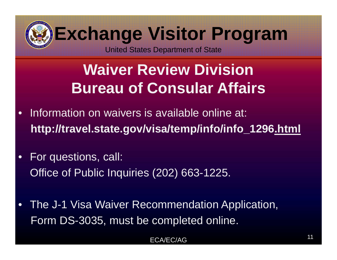

### **Waiver Review DivisionBureau of Consular Affairs**

- • Information on waivers is available online at: **http://travel.state.gov/visa/temp/info/info\_1296.html**
- $\bullet$  For questions, call: Office of Public Inquiries (202) 663-1225.
- • The J-1 Visa Waiver Recommendation Application, Form DS-3035, must be completed online.